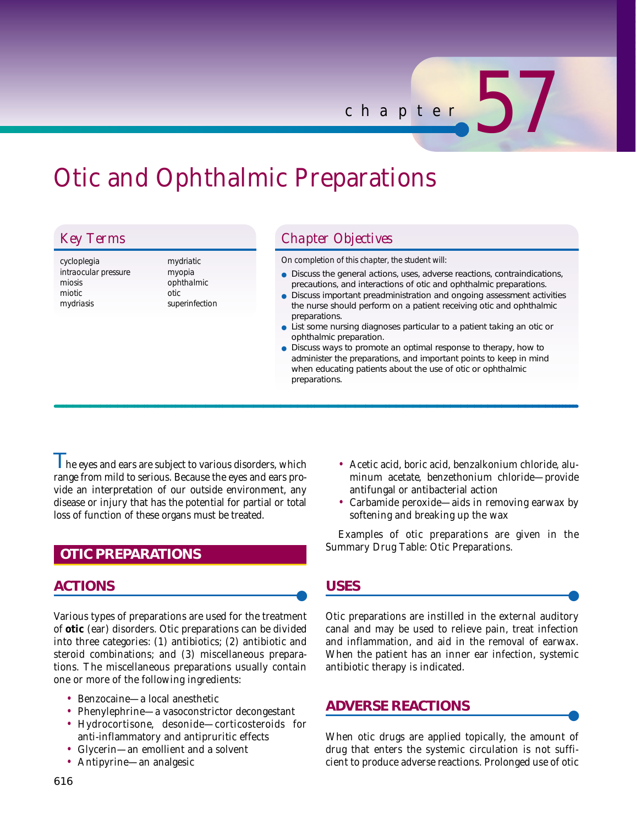# Otic and Ophthalmic Preparations

*cycloplegia intraocular pressure miosis miotic mydriasis*

*mydriatic myopia ophthalmic otic superinfection*

# *Key Terms Chapter Objectives*

*On completion of this chapter, the student will:*

● Discuss the general actions, uses, adverse reactions, contraindications, precautions, and interactions of otic and ophthalmic preparations.

*chapter* 57

- Discuss important preadministration and ongoing assessment activities the nurse should perform on a patient receiving otic and ophthalmic preparations.
- List some nursing diagnoses particular to a patient taking an otic or ophthalmic preparation.
- Discuss ways to promote an optimal response to therapy, how to administer the preparations, and important points to keep in mind when educating patients about the use of otic or ophthalmic preparations.

I he eyes and ears are subject to various disorders, which range from mild to serious. Because the eyes and ears provide an interpretation of our outside environment, any disease or injury that has the potential for partial or total loss of function of these organs must be treated.

# **OTIC PREPARATIONS**

# **ACTIONS** ●

Various types of preparations are used for the treatment of **otic** (ear) disorders. Otic preparations can be divided into three categories: (1) antibiotics; (2) antibiotic and steroid combinations; and (3) miscellaneous preparations. The miscellaneous preparations usually contain one or more of the following ingredients:

- Benzocaine—a local anesthetic
- Phenylephrine—a vasoconstrictor decongestant
- Hydrocortisone, desonide—corticosteroids for anti-inflammatory and antipruritic effects
- Glycerin—an emollient and a solvent
- Antipyrine—an analgesic
- Acetic acid, boric acid, benzalkonium chloride, aluminum acetate, benzethonium chloride—provide antifungal or antibacterial action
- Carbamide peroxide—aids in removing earwax by softening and breaking up the wax

Examples of otic preparations are given in the Summary Drug Table: Otic Preparations.

# **USES** ●

Otic preparations are instilled in the external auditory canal and may be used to relieve pain, treat infection and inflammation, and aid in the removal of earwax. When the patient has an inner ear infection, systemic antibiotic therapy is indicated.

# **ADVERSE REACTIONS** ●

When otic drugs are applied topically, the amount of drug that enters the systemic circulation is not sufficient to produce adverse reactions. Prolonged use of otic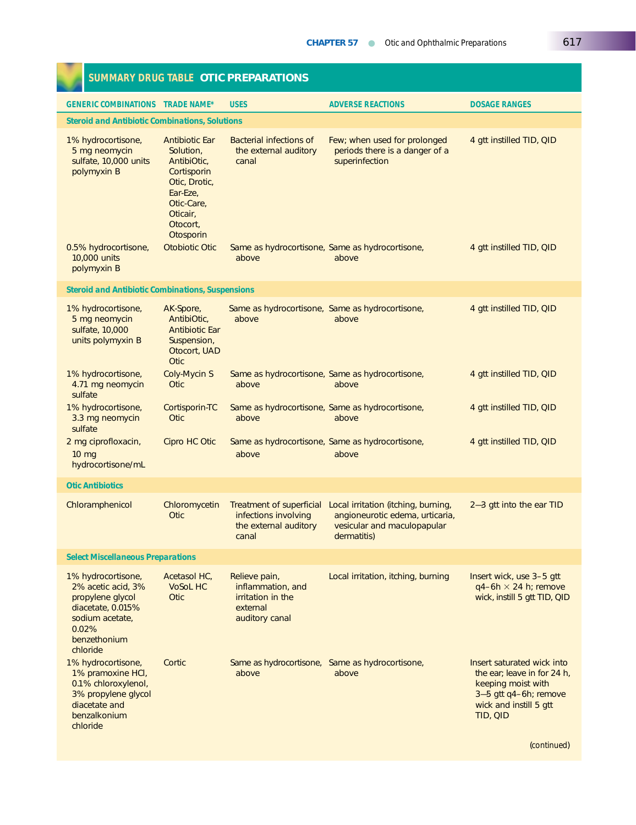| <b>SUMMARY DRUG TABLE OTIC PREPARATIONS</b>                                                                                               |                                                                                                                                                  |                                                                                       |                                                                                                                                               |                                                                                                                                                |
|-------------------------------------------------------------------------------------------------------------------------------------------|--------------------------------------------------------------------------------------------------------------------------------------------------|---------------------------------------------------------------------------------------|-----------------------------------------------------------------------------------------------------------------------------------------------|------------------------------------------------------------------------------------------------------------------------------------------------|
| <b>GENERIC COMBINATIONS TRADE NAME*</b>                                                                                                   |                                                                                                                                                  | <b>USES</b>                                                                           | <b>ADVERSE REACTIONS</b>                                                                                                                      | <b>DOSAGE RANGES</b>                                                                                                                           |
| <b>Steroid and Antibiotic Combinations, Solutions</b>                                                                                     |                                                                                                                                                  |                                                                                       |                                                                                                                                               |                                                                                                                                                |
| 1% hydrocortisone,<br>5 mg neomycin<br>sulfate, 10,000 units<br>polymyxin B                                                               | <b>Antibiotic Ear</b><br>Solution,<br>AntibiOtic,<br>Cortisporin<br>Otic, Drotic,<br>Ear-Eze,<br>Otic-Care,<br>Oticair,<br>Otocort,<br>Otosporin | <b>Bacterial infections of</b><br>the external auditory<br>canal                      | Few; when used for prolonged<br>periods there is a danger of a<br>superinfection                                                              | 4 gtt instilled TID, QID                                                                                                                       |
| 0.5% hydrocortisone,<br>10,000 units<br>polymyxin B                                                                                       | <b>Otobiotic Otic</b>                                                                                                                            | above                                                                                 | Same as hydrocortisone, Same as hydrocortisone,<br>above                                                                                      | 4 gtt instilled TID, QID                                                                                                                       |
| <b>Steroid and Antibiotic Combinations, Suspensions</b>                                                                                   |                                                                                                                                                  |                                                                                       |                                                                                                                                               |                                                                                                                                                |
| 1% hydrocortisone,<br>5 mg neomycin<br>sulfate, 10,000<br>units polymyxin B                                                               | AK-Spore,<br>AntibiOtic,<br><b>Antibiotic Ear</b><br>Suspension,<br>Otocort, UAD<br>Otic                                                         | Same as hydrocortisone, Same as hydrocortisone,<br>above                              | above                                                                                                                                         | 4 gtt instilled TID, QID                                                                                                                       |
| 1% hydrocortisone,<br>4.71 mg neomycin<br>sulfate                                                                                         | <b>Coly-Mycin S</b><br>Otic                                                                                                                      | above                                                                                 | Same as hydrocortisone, Same as hydrocortisone,<br>above                                                                                      | 4 gtt instilled TID, QID                                                                                                                       |
| 1% hydrocortisone,<br>3.3 mg neomycin<br>sulfate                                                                                          | Cortisporin-TC<br>Otic                                                                                                                           | above                                                                                 | Same as hydrocortisone, Same as hydrocortisone,<br>above                                                                                      | 4 gtt instilled TID, QID                                                                                                                       |
| 2 mg ciprofloxacin,<br>$10 \text{ mg}$<br>hydrocortisone/mL                                                                               | Cipro HC Otic                                                                                                                                    | above                                                                                 | Same as hydrocortisone, Same as hydrocortisone,<br>above                                                                                      | 4 gtt instilled TID, QID                                                                                                                       |
| <b>Otic Antibiotics</b>                                                                                                                   |                                                                                                                                                  |                                                                                       |                                                                                                                                               |                                                                                                                                                |
| Chloramphenicol                                                                                                                           | Chloromycetin<br><b>Otic</b>                                                                                                                     | infections involving<br>the external auditory<br><b>canal</b> canal                   | Treatment of superficial Local irritation (itching, burning,<br>angioneurotic edema, urticaria,<br>vesicular and maculopapular<br>dermatitis) | 2-3 gtt into the ear TID                                                                                                                       |
| <b>Select Miscellaneous Preparations</b>                                                                                                  |                                                                                                                                                  |                                                                                       |                                                                                                                                               |                                                                                                                                                |
| 1% hydrocortisone,<br>2% acetic acid, 3%<br>propylene glycol<br>diacetate, 0.015%<br>sodium acetate,<br>0.02%<br>benzethonium<br>chloride | Acetasol HC,<br><b>VoSoL HC</b><br><b>Otic</b>                                                                                                   | Relieve pain,<br>inflammation, and<br>irritation in the<br>external<br>auditory canal | Local irritation, itching, burning                                                                                                            | Insert wick, use 3-5 gtt<br>$q4-6h \times 24 h$ ; remove<br>wick, instill 5 gtt TID, QID                                                       |
| 1% hydrocortisone,<br>1% pramoxine HCl,<br>0.1% chloroxylenol,<br>3% propylene glycol<br>diacetate and<br>benzalkonium<br>chloride        | Cortic                                                                                                                                           | above                                                                                 | Same as hydrocortisone, Same as hydrocortisone,<br>above                                                                                      | Insert saturated wick into<br>the ear: leave in for 24 h.<br>keeping moist with<br>3-5 gtt q4-6h; remove<br>wick and instill 5 gtt<br>TID, QID |
|                                                                                                                                           |                                                                                                                                                  |                                                                                       |                                                                                                                                               | (continued)                                                                                                                                    |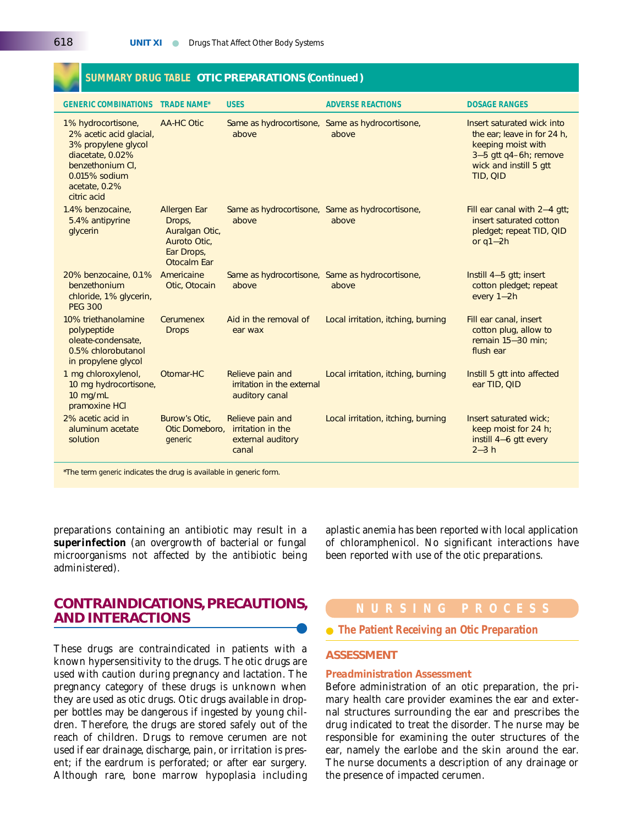| <b>GENERIC COMBINATIONS</b>                                                                                                                                      | <b>TRADE NAME*</b>                                                                                  | <b>USES</b>                                                         | <b>ADVERSE REACTIONS</b>                                 | <b>DOSAGE RANGES</b>                                                                                                                           |
|------------------------------------------------------------------------------------------------------------------------------------------------------------------|-----------------------------------------------------------------------------------------------------|---------------------------------------------------------------------|----------------------------------------------------------|------------------------------------------------------------------------------------------------------------------------------------------------|
| 1% hydrocortisone,<br>2% acetic acid glacial,<br>3% propylene glycol<br>diacetate, 0.02%<br>benzethonium Cl.<br>$0.015\%$ sodium<br>acetate, 0.2%<br>citric acid | <b>AA-HC Otic</b>                                                                                   | above                                                               | Same as hydrocortisone, Same as hydrocortisone,<br>above | Insert saturated wick into<br>the ear; leave in for 24 h,<br>keeping moist with<br>3-5 gtt q4-6h; remove<br>wick and instill 5 gtt<br>TID, QID |
| 1.4% benzocaine.<br>5.4% antipyrine<br>glycerin                                                                                                                  | <b>Allergen Ear</b><br>Drops,<br>Auralgan Otic,<br>Auroto Otic,<br>Ear Drops,<br><b>Otocalm Ear</b> | above                                                               | Same as hydrocortisone, Same as hydrocortisone,<br>above | Fill ear canal with 2-4 gtt;<br>insert saturated cotton<br>pledget; repeat TID, QID<br>or $q1-2h$                                              |
| 20% benzocaine, 0.1%<br>benzethonium<br>chloride, 1% glycerin,<br><b>PEG 300</b>                                                                                 | Americaine<br>Otic, Otocain                                                                         | above                                                               | Same as hydrocortisone, Same as hydrocortisone,<br>above | Instill 4-5 gtt; insert<br>cotton pledget; repeat<br>every 1-2h                                                                                |
| 10% triethanolamine<br>polypeptide<br>oleate-condensate,<br>0.5% chlorobutanol<br>in propylene glycol                                                            | Cerumenex<br><b>Drops</b>                                                                           | Aid in the removal of<br>ear wax                                    | Local irritation, itching, burning                       | Fill ear canal, insert<br>cotton plug, allow to<br>remain 15-30 min:<br>flush ear                                                              |
| 1 mg chloroxylenol,<br>10 mg hydrocortisone,<br>10 mg/mL<br>pramoxine HCI                                                                                        | Otomar-HC                                                                                           | Relieve pain and<br>irritation in the external<br>auditory canal    | Local irritation, itching, burning                       | Instill 5 gtt into affected<br>ear TID, QID                                                                                                    |
| 2% acetic acid in<br>aluminum acetate<br>solution                                                                                                                | Burow's Otic.<br>Otic Domeboro.<br>generic                                                          | Relieve pain and<br>irritation in the<br>external auditory<br>canal | Local irritation, itching, burning                       | Insert saturated wick:<br>keep moist for 24 h;<br>instill 4-6 gtt every<br>$2 - 3h$                                                            |
|                                                                                                                                                                  |                                                                                                     |                                                                     |                                                          |                                                                                                                                                |

# **SUMMARY DRUG TABLE OTIC PREPARATIONS (***Continued***)**

\*The term *generic* indicates the drug is available in generic form.

preparations containing an antibiotic may result in a **superinfection** (an overgrowth of bacterial or fungal microorganisms not affected by the antibiotic being administered).

aplastic anemia has been reported with local application of chloramphenicol. No significant interactions have been reported with use of the otic preparations.

# **CONTRAINDICATIONS, PRECAUTIONS, AND INTERACTIONS**

These drugs are contraindicated in patients with a known hypersensitivity to the drugs. The otic drugs are used with caution during pregnancy and lactation. The pregnancy category of these drugs is unknown when they are used as otic drugs. Otic drugs available in dropper bottles may be dangerous if ingested by young children. Therefore, the drugs are stored safely out of the reach of children. Drugs to remove cerumen are not used if ear drainage, discharge, pain, or irritation is present; if the eardrum is perforated; or after ear surgery. Although rare, bone marrow hypoplasia including

● **The Patient Receiving an Otic Preparation**

# **ASSESSMENT**

# *Preadministration Assessment*

Before administration of an otic preparation, the primary health care provider examines the ear and external structures surrounding the ear and prescribes the drug indicated to treat the disorder. The nurse may be responsible for examining the outer structures of the ear, namely the earlobe and the skin around the ear. The nurse documents a description of any drainage or the presence of impacted cerumen.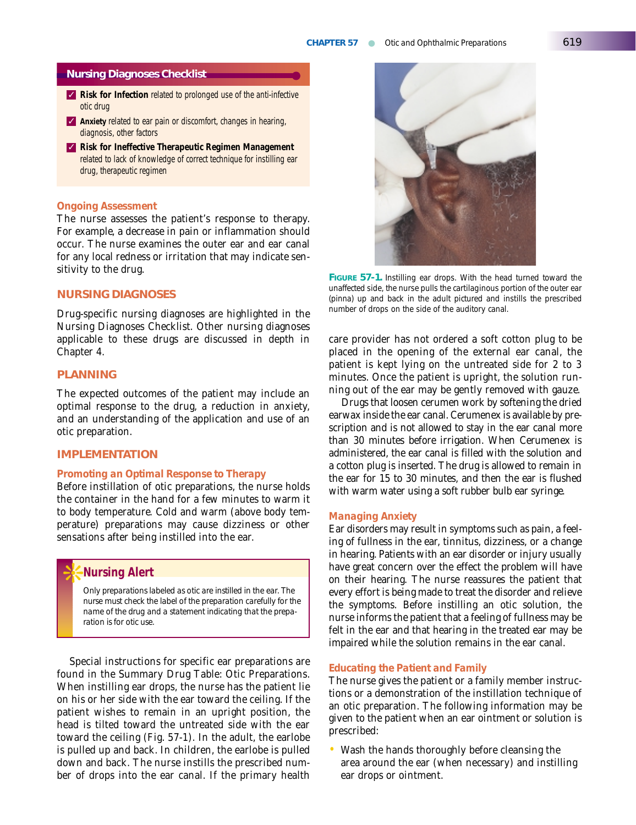### **Nursing Diagnoses Checklist**

- ✓ **Risk for Infection** related to prolonged use of the anti-infective otic drug
- ✓ **Anxiety** related to ear pain or discomfort, changes in hearing, diagnosis, other factors
- ✓ **Risk for Ineffective Therapeutic Regimen Management** related to lack of knowledge of correct technique for instilling ear drug, therapeutic regimen

#### *Ongoing Assessment*

The nurse assesses the patient's response to therapy. For example, a decrease in pain or inflammation should occur. The nurse examines the outer ear and ear canal for any local redness or irritation that may indicate sensitivity to the drug.

# **NURSING DIAGNOSES**

Drug-specific nursing diagnoses are highlighted in the Nursing Diagnoses Checklist. Other nursing diagnoses applicable to these drugs are discussed in depth in Chapter 4.

#### **PLANNING**

The expected outcomes of the patient may include an optimal response to the drug, a reduction in anxiety, and an understanding of the application and use of an otic preparation.

### **IMPLEMENTATION**

#### *Promoting an Optimal Response to Therapy*

Before instillation of otic preparations, the nurse holds the container in the hand for a few minutes to warm it to body temperature. Cold and warm (above body temperature) preparations may cause dizziness or other sensations after being instilled into the ear.

#### ❊**Nursing Alert**

*Only preparations labeled as otic are instilled in the ear. The nurse must check the label of the preparation carefully for the name of the drug and a statement indicating that the preparation is for otic use.*

Special instructions for specific ear preparations are found in the Summary Drug Table: Otic Preparations. When instilling ear drops, the nurse has the patient lie on his or her side with the ear toward the ceiling. If the patient wishes to remain in an upright position, the head is tilted toward the untreated side with the ear toward the ceiling (Fig. 57-1). In the adult, the earlobe is pulled up and back. In children, the earlobe is pulled down and back. The nurse instills the prescribed number of drops into the ear canal. If the primary health



**FIGURE 57-1.** Instilling ear drops. With the head turned toward the unaffected side, the nurse pulls the cartilaginous portion of the outer ear (pinna) up and back in the adult pictured and instills the prescribed number of drops on the side of the auditory canal.

care provider has not ordered a soft cotton plug to be placed in the opening of the external ear canal, the patient is kept lying on the untreated side for 2 to 3 minutes. Once the patient is upright, the solution running out of the ear may be gently removed with gauze.

Drugs that loosen cerumen work by softening the dried earwax inside the ear canal. Cerumenex is available by prescription and is not allowed to stay in the ear canal more than 30 minutes before irrigation. When Cerumenex is administered, the ear canal is filled with the solution and a cotton plug is inserted. The drug is allowed to remain in the ear for 15 to 30 minutes, and then the ear is flushed with warm water using a soft rubber bulb ear syringe.

#### *Managing Anxiety*

Ear disorders may result in symptoms such as pain, a feeling of fullness in the ear, tinnitus, dizziness, or a change in hearing. Patients with an ear disorder or injury usually have great concern over the effect the problem will have on their hearing. The nurse reassures the patient that every effort is being made to treat the disorder and relieve the symptoms. Before instilling an otic solution, the nurse informs the patient that a feeling of fullness may be felt in the ear and that hearing in the treated ear may be impaired while the solution remains in the ear canal.

#### *Educating the Patient and Family*

The nurse gives the patient or a family member instructions or a demonstration of the instillation technique of an otic preparation. The following information may be given to the patient when an ear ointment or solution is prescribed:

• Wash the hands thoroughly before cleansing the area around the ear (when necessary) and instilling ear drops or ointment.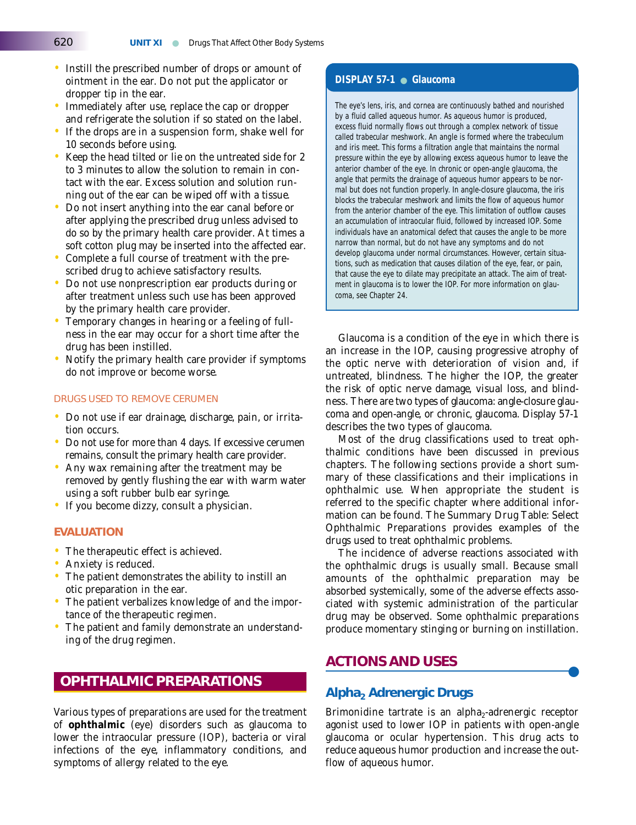- Instill the prescribed number of drops or amount of ointment in the ear. Do not put the applicator or dropper tip in the ear.
- Immediately after use, replace the cap or dropper and refrigerate the solution if so stated on the label.
- If the drops are in a suspension form, shake well for 10 seconds before using.
- Keep the head tilted or lie on the untreated side for 2 to 3 minutes to allow the solution to remain in contact with the ear. Excess solution and solution running out of the ear can be wiped off with a tissue.
- Do not insert anything into the ear canal before or after applying the prescribed drug unless advised to do so by the primary health care provider. At times a soft cotton plug may be inserted into the affected ear.
- Complete a full course of treatment with the prescribed drug to achieve satisfactory results.
- Do not use nonprescription ear products during or after treatment unless such use has been approved by the primary health care provider.
- Temporary changes in hearing or a feeling of fullness in the ear may occur for a short time after the drug has been instilled.
- Notify the primary health care provider if symptoms do not improve or become worse.

#### DRUGS USED TO REMOVE CERUMEN

- Do not use if ear drainage, discharge, pain, or irritation occurs.
- Do not use for more than 4 days. If excessive cerumen remains, consult the primary health care provider.
- Any wax remaining after the treatment may be removed by gently flushing the ear with warm water using a soft rubber bulb ear syringe.
- If you become dizzy, consult a physician.

# **EVALUATION**

- The therapeutic effect is achieved.
- Anxiety is reduced.<br>• The patient demons
- The patient demonstrates the ability to instill an otic preparation in the ear.
- The patient verbalizes knowledge of and the importance of the therapeutic regimen.
- The patient and family demonstrate an understanding of the drug regimen.

# **OPHTHALMIC PREPARATIONS**

Various types of preparations are used for the treatment of **ophthalmic** (eye) disorders such as glaucoma to lower the intraocular pressure (IOP), bacteria or viral infections of the eye, inflammatory conditions, and symptoms of allergy related to the eye.

# **DISPLAY 57-1** ● **Glaucoma**

The eye's lens, iris, and cornea are continuously bathed and nourished by a fluid called aqueous humor. As aqueous humor is produced, excess fluid normally flows out through a complex network of tissue called trabecular meshwork. An angle is formed where the trabeculum and iris meet. This forms a filtration angle that maintains the normal pressure within the eye by allowing excess aqueous humor to leave the anterior chamber of the eye. In chronic or open-angle glaucoma, the angle that permits the drainage of aqueous humor appears to be normal but does not function properly. In angle-closure glaucoma, the iris blocks the trabecular meshwork and limits the flow of aqueous humor from the anterior chamber of the eye. This limitation of outflow causes an accumulation of intraocular fluid, followed by increased IOP. Some individuals have an anatomical defect that causes the angle to be more narrow than normal, but do not have any symptoms and do not develop glaucoma under normal circumstances. However, certain situations, such as medication that causes dilation of the eye, fear, or pain, that cause the eye to dilate may precipitate an attack. The aim of treatment in glaucoma is to lower the IOP. For more information on glaucoma, see Chapter 24.

Glaucoma is a condition of the eye in which there is an increase in the IOP, causing progressive atrophy of the optic nerve with deterioration of vision and, if untreated, blindness. The higher the IOP, the greater the risk of optic nerve damage, visual loss, and blindness. There are two types of glaucoma: angle-closure glaucoma and open-angle, or chronic, glaucoma. Display 57-1 describes the two types of glaucoma.

Most of the drug classifications used to treat ophthalmic conditions have been discussed in previous chapters. The following sections provide a short summary of these classifications and their implications in ophthalmic use. When appropriate the student is referred to the specific chapter where additional information can be found. The Summary Drug Table: Select Ophthalmic Preparations provides examples of the drugs used to treat ophthalmic problems.

The incidence of adverse reactions associated with the ophthalmic drugs is usually small. Because small amounts of the ophthalmic preparation may be absorbed systemically, some of the adverse effects associated with systemic administration of the particular drug may be observed. Some ophthalmic preparations produce momentary stinging or burning on instillation.

# **ACTIONS AND USES** ●

# **Alpha2 Adrenergic Drugs**

Brimonidine tartrate is an alpha<sub>2</sub>-adrenergic receptor agonist used to lower IOP in patients with open-angle glaucoma or ocular hypertension. This drug acts to reduce aqueous humor production and increase the outflow of aqueous humor.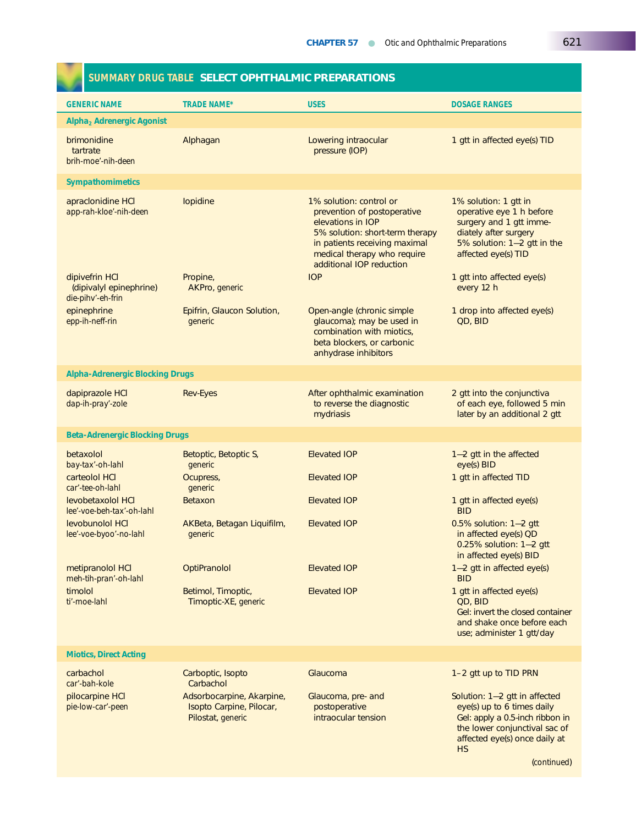| SUMMARY DRUG TABLE SELECT OPHTHALMIC PREPARATIONS              |                                                                            |                                                                                                                                                                                                            |                                                                                                                                                                               |  |
|----------------------------------------------------------------|----------------------------------------------------------------------------|------------------------------------------------------------------------------------------------------------------------------------------------------------------------------------------------------------|-------------------------------------------------------------------------------------------------------------------------------------------------------------------------------|--|
| <b>GENERIC NAME</b>                                            | <b>TRADE NAME*</b>                                                         | <b>USES</b>                                                                                                                                                                                                | <b>DOSAGE RANGES</b>                                                                                                                                                          |  |
| Alpha <sub>2</sub> Adrenergic Agonist                          |                                                                            |                                                                                                                                                                                                            |                                                                                                                                                                               |  |
| brimonidine<br>tartrate<br>brih-moe'-nih-deen                  | Alphagan                                                                   | Lowering intraocular<br>pressure (IOP)                                                                                                                                                                     | 1 gtt in affected eye(s) TID                                                                                                                                                  |  |
| <b>Sympathomimetics</b>                                        |                                                                            |                                                                                                                                                                                                            |                                                                                                                                                                               |  |
| apraclonidine HCI<br>app-rah-kloe'-nih-deen                    | lopidine                                                                   | 1% solution: control or<br>prevention of postoperative<br>elevations in IOP<br>5% solution: short-term therapy<br>in patients receiving maximal<br>medical therapy who require<br>additional IOP reduction | 1% solution: 1 gtt in<br>operative eye 1 h before<br>surgery and 1 gtt imme-<br>diately after surgery<br>5% solution: 1-2 gtt in the<br>affected eye(s) TID                   |  |
| dipivefrin HCI<br>(dipivalyl epinephrine)<br>die-pihv'-eh-frin | Propine,<br>AKPro, generic                                                 | <b>IOP</b>                                                                                                                                                                                                 | 1 gtt into affected eye(s)<br>every 12 h                                                                                                                                      |  |
| epinephrine<br>epp-ih-neff-rin                                 | Epifrin, Glaucon Solution,<br>generic                                      | Open-angle (chronic simple<br>glaucoma); may be used in<br>combination with miotics,<br>beta blockers, or carbonic<br>anhydrase inhibitors                                                                 | 1 drop into affected eye(s)<br>QD, BID                                                                                                                                        |  |
| <b>Alpha-Adrenergic Blocking Drugs</b>                         |                                                                            |                                                                                                                                                                                                            |                                                                                                                                                                               |  |
| dapiprazole HCl<br>dap-ih-pray'-zole                           | <b>Rev-Eyes</b>                                                            | After ophthalmic examination<br>to reverse the diagnostic<br>mydriasis                                                                                                                                     | 2 gtt into the conjunctiva<br>of each eye, followed 5 min<br>later by an additional 2 gtt                                                                                     |  |
| <b>Beta-Adrenergic Blocking Drugs</b>                          |                                                                            |                                                                                                                                                                                                            |                                                                                                                                                                               |  |
| betaxolol<br>bay-tax'-oh-lahl<br>carteolol HCI                 | Betoptic, Betoptic S,<br>generic<br>Ocupress,                              | <b>Elevated IOP</b><br><b>Elevated IOP</b>                                                                                                                                                                 | 1-2 gtt in the affected<br>eye(s) BID<br>1 gtt in affected TID                                                                                                                |  |
| car'-tee-oh-lahl                                               | generic                                                                    |                                                                                                                                                                                                            |                                                                                                                                                                               |  |
| levobetaxolol HCI<br>lee'-voe-beh-tax'-oh-lahl                 | Betaxon                                                                    | <b>Elevated IOP</b>                                                                                                                                                                                        | 1 gtt in affected eye(s)<br><b>BID</b>                                                                                                                                        |  |
| levobunolol HCI<br>lee'-voe-byoo'-no-lahl                      | AKBeta, Betagan Liquifilm,<br>generic                                      | <b>Elevated IOP</b>                                                                                                                                                                                        | 0.5% solution: 1-2 gtt<br>in affected eye(s) QD<br>$0.25\%$ solution: $1-2$ gtt<br>in affected eye(s) BID                                                                     |  |
| metipranolol HCI<br>meh-tih-pran'-oh-lahl                      | OptiPranolol                                                               | <b>Elevated IOP</b>                                                                                                                                                                                        | 1-2 gtt in affected eye(s)<br><b>BID</b>                                                                                                                                      |  |
| timolol<br>ti'-moe-lahl                                        | Betimol, Timoptic,<br>Timoptic-XE, generic                                 | <b>Elevated IOP</b>                                                                                                                                                                                        | 1 gtt in affected eye(s)<br>QD, BID<br>Gel: invert the closed container<br>and shake once before each<br>use; administer 1 gtt/day                                            |  |
| <b>Miotics, Direct Acting</b>                                  |                                                                            |                                                                                                                                                                                                            |                                                                                                                                                                               |  |
| carbachol<br>car'-bah-kole                                     | Carboptic, Isopto<br>Carbachol                                             | Glaucoma                                                                                                                                                                                                   | 1-2 gtt up to TID PRN                                                                                                                                                         |  |
| pilocarpine HCI<br>pie-low-car'-peen                           | Adsorbocarpine, Akarpine,<br>Isopto Carpine, Pilocar,<br>Pilostat, generic | Glaucoma, pre- and<br>postoperative<br>intraocular tension                                                                                                                                                 | Solution: 1-2 gtt in affected<br>eye(s) up to 6 times daily<br>Gel: apply a 0.5-inch ribbon in<br>the lower conjunctival sac of<br>affected eye(s) once daily at<br><b>HS</b> |  |

(*continued*)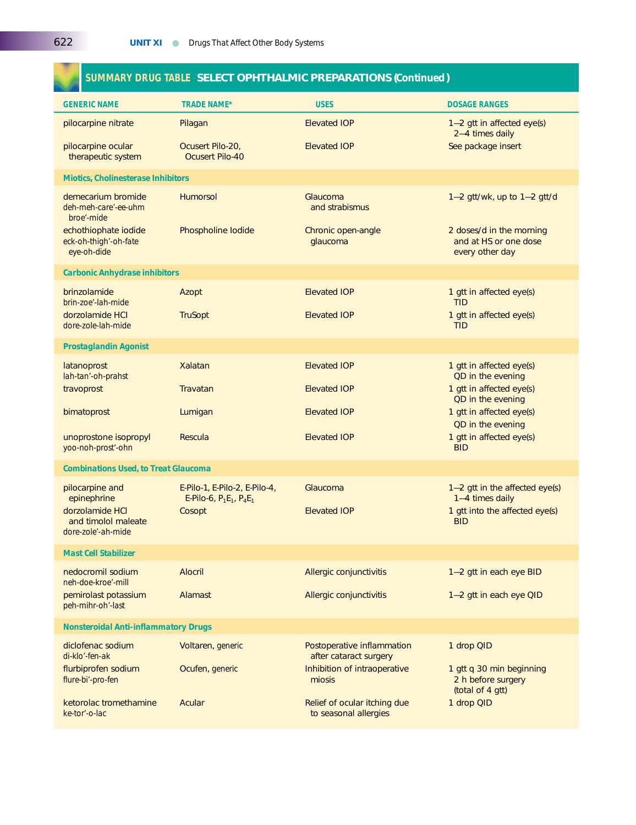# **SUMMARY DRUG TABLE SELECT OPHTHALMIC PREPARATIONS (***Continued***)**

| <b>GENERIC NAME</b>                                          | <b>TRADE NAME*</b>                                             | <b>USES</b>                                           | <b>DOSAGE RANGES</b>                                                 |  |
|--------------------------------------------------------------|----------------------------------------------------------------|-------------------------------------------------------|----------------------------------------------------------------------|--|
| pilocarpine nitrate                                          | Pilagan                                                        | <b>Elevated IOP</b>                                   | $1-2$ gtt in affected eye(s)<br>2-4 times daily                      |  |
| pilocarpine ocular<br>therapeutic system                     | Ocusert Pilo-20,<br><b>Ocusert Pilo-40</b>                     | <b>Elevated IOP</b>                                   | See package insert                                                   |  |
| <b>Miotics, Cholinesterase Inhibitors</b>                    |                                                                |                                                       |                                                                      |  |
| demecarium bromide<br>deh-meh-care'-ee-uhm<br>broe'-mide     | <b>Humorsol</b>                                                | Glaucoma<br>and strabismus                            | 1-2 gtt/wk, up to 1-2 gtt/d                                          |  |
| echothiophate iodide<br>eck-oh-thigh'-oh-fate<br>eye-oh-dide | Phospholine lodide                                             | Chronic open-angle<br>qlaucoma                        | 2 doses/d in the morning<br>and at HS or one dose<br>every other day |  |
| <b>Carbonic Anhydrase inhibitors</b>                         |                                                                |                                                       |                                                                      |  |
| brinzolamide<br>brin-zoe'-lah-mide                           | Azopt                                                          | <b>Elevated IOP</b>                                   | 1 gtt in affected eye(s)<br><b>TID</b>                               |  |
| dorzolamide HCI<br>dore-zole-lah-mide                        | <b>TruSopt</b>                                                 | <b>Elevated IOP</b>                                   | 1 gtt in affected eye(s)<br><b>TID</b>                               |  |
| <b>Prostaglandin Agonist</b>                                 |                                                                |                                                       |                                                                      |  |
| latanoprost<br>lah-tan'-oh-prahst                            | Xalatan                                                        | <b>Elevated IOP</b>                                   | 1 gtt in affected eye(s)<br>QD in the evening                        |  |
| travoprost                                                   | Travatan                                                       | <b>Elevated IOP</b>                                   | 1 gtt in affected eye(s)<br>QD in the evening                        |  |
| bimatoprost                                                  | Lumigan                                                        | <b>Elevated IOP</b>                                   | 1 gtt in affected eye(s)<br>QD in the evening                        |  |
| unoprostone isopropyl<br>yoo-noh-prost'-ohn                  | Rescula                                                        | <b>Elevated IOP</b>                                   | 1 gtt in affected eye(s)<br><b>BID</b>                               |  |
| <b>Combinations Used, to Treat Glaucoma</b>                  |                                                                |                                                       |                                                                      |  |
| pilocarpine and<br>epinephrine                               | E-Pilo-1, E-Pilo-2, E-Pilo-4,<br>E-Pilo-6, $P_1E_1$ , $P_4E_1$ | Glaucoma                                              | 1-2 gtt in the affected eye(s)<br>1-4 times daily                    |  |
| dorzolamide HCI<br>and timolol maleate<br>dore-zole'-ah-mide | Cosopt                                                         | <b>Elevated IOP</b>                                   | 1 gtt into the affected eye(s)<br><b>BID</b>                         |  |
| <b>Mast Cell Stabilizer</b>                                  |                                                                |                                                       |                                                                      |  |
| nedocromil sodium<br>neh-doe-kroe'-mill                      | <b>Alocril</b>                                                 | Allergic conjunctivitis                               | 1-2 gtt in each eye BID                                              |  |
| pemirolast potassium<br>peh-mihr-oh'-last                    | Alamast                                                        | Allergic conjunctivitis                               | 1-2 gtt in each eye QID                                              |  |
| <b>Nonsteroidal Anti-inflammatory Drugs</b>                  |                                                                |                                                       |                                                                      |  |
| diclofenac sodium<br>di-klo'-fen-ak                          | Voltaren, generic                                              | Postoperative inflammation<br>after cataract surgery  | 1 drop QID                                                           |  |
| flurbiprofen sodium<br>flure-bi'-pro-fen                     | Ocufen, generic                                                | Inhibition of intraoperative<br>miosis                | 1 gtt q 30 min beginning<br>2 h before surgery<br>(total of 4 gtt)   |  |
| ketorolac tromethamine<br>ke-tor'-o-lac                      | Acular                                                         | Relief of ocular itching due<br>to seasonal allergies | 1 drop QID                                                           |  |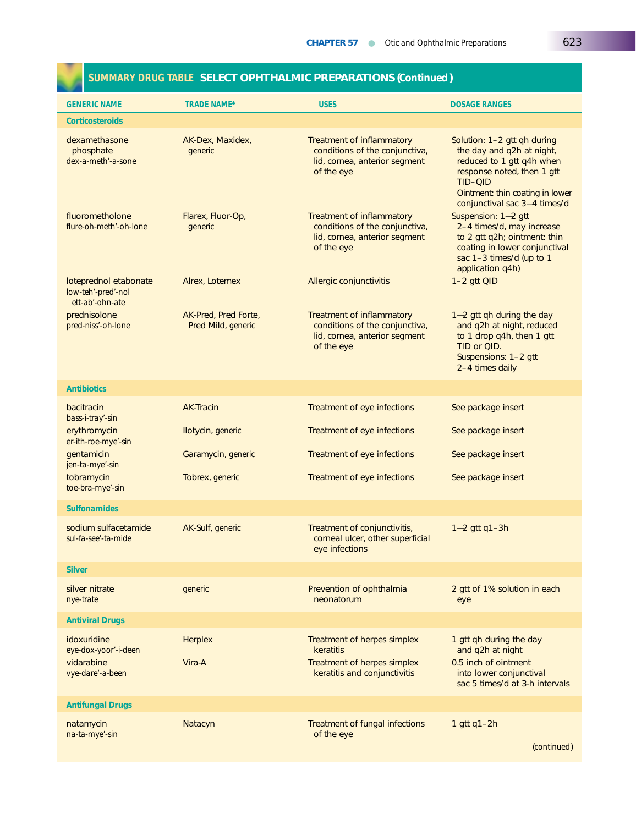| <b>GENERIC NAME</b>                                                   | <b>TRADE NAME*</b>                         | <b>USES</b>                                                                                                       | <b>DOSAGE RANGES</b>                                                                                                                                                                              |
|-----------------------------------------------------------------------|--------------------------------------------|-------------------------------------------------------------------------------------------------------------------|---------------------------------------------------------------------------------------------------------------------------------------------------------------------------------------------------|
| <b>Corticosteroids</b>                                                |                                            |                                                                                                                   |                                                                                                                                                                                                   |
| dexamethasone<br>phosphate<br>dex-a-meth'-a-sone                      | AK-Dex, Maxidex,<br>generic                | <b>Treatment of inflammatory</b><br>conditions of the conjunctiva,<br>lid, cornea, anterior segment<br>of the eye | Solution: 1-2 gtt qh during<br>the day and q2h at night,<br>reduced to 1 gtt q4h when<br>response noted, then 1 gtt<br>TID-QID<br>Ointment: thin coating in lower<br>conjunctival sac 3-4 times/d |
| fluorometholone<br>flure-oh-meth'-oh-lone                             | Flarex, Fluor-Op,<br>generic               | <b>Treatment of inflammatory</b><br>conditions of the conjunctiva,<br>lid, cornea, anterior segment<br>of the eye | Suspension: 1-2 gtt<br>2-4 times/d, may increase<br>to 2 gtt q2h; ointment: thin<br>coating in lower conjunctival<br>sac 1-3 times/d (up to 1<br>application q4h)                                 |
| loteprednol etabonate<br>low-teh'-pred'-nol<br>ett-ab'-ohn-ate        | Alrex, Lotemex                             | Allergic conjunctivitis                                                                                           | 1-2 gtt QID                                                                                                                                                                                       |
| prednisolone<br>pred-niss'-oh-lone                                    | AK-Pred, Pred Forte,<br>Pred Mild, generic | <b>Treatment of inflammatory</b><br>conditions of the conjunctiva,<br>lid, cornea, anterior segment<br>of the eye | 1-2 gtt qh during the day<br>and q2h at night, reduced<br>to 1 drop q4h, then 1 gtt<br>TID or QID.<br>Suspensions: 1-2 gtt<br>2-4 times daily                                                     |
| <b>Antibiotics</b>                                                    |                                            |                                                                                                                   |                                                                                                                                                                                                   |
| bacitracin<br>bass-i-tray'-sin                                        | <b>AK-Tracin</b>                           | Treatment of eye infections                                                                                       | See package insert                                                                                                                                                                                |
| erythromycin<br>er-ith-roe-mye'-sin                                   | Ilotycin, generic                          | Treatment of eye infections                                                                                       | See package insert                                                                                                                                                                                |
| gentamicin<br>jen-ta-mye'-sin                                         | Garamycin, generic                         | Treatment of eye infections                                                                                       | See package insert                                                                                                                                                                                |
| tobramycin<br>toe-bra-mye'-sin                                        | Tobrex, generic                            | Treatment of eye infections                                                                                       | See package insert                                                                                                                                                                                |
| <b>Sulfonamides</b>                                                   |                                            |                                                                                                                   |                                                                                                                                                                                                   |
| sodium sulfacetamide<br>sul-fa-see'-ta-mide                           | AK-Sulf, generic                           | Treatment of conjunctivitis,<br>corneal ulcer, other superficial<br>eye infections                                | $1-2$ gtt g $1-3h$                                                                                                                                                                                |
| <b>Silver</b>                                                         |                                            |                                                                                                                   |                                                                                                                                                                                                   |
| silver nitrate<br>nye-trate                                           | generic                                    | Prevention of ophthalmia<br>neonatorum                                                                            | 2 gtt of 1% solution in each<br>eye                                                                                                                                                               |
| <b>Antiviral Drugs</b>                                                |                                            |                                                                                                                   |                                                                                                                                                                                                   |
| idoxuridine<br>eye-dox-yoor'-i-deen<br>vidarabine<br>vye-dare'-a-been | <b>Herplex</b><br>Vira-A                   | Treatment of herpes simplex<br>keratitis<br>Treatment of herpes simplex<br>keratitis and conjunctivitis           | 1 gtt qh during the day<br>and q2h at night<br>0.5 inch of ointment<br>into lower conjunctival<br>sac 5 times/d at 3-h intervals                                                                  |
| <b>Antifungal Drugs</b>                                               |                                            |                                                                                                                   |                                                                                                                                                                                                   |
| natamycin<br>na-ta-mye'-sin                                           | Natacyn                                    | Treatment of fungal infections<br>of the eye                                                                      | 1 gtt $q1-2h$<br>(continued)                                                                                                                                                                      |

# **SUMMARY DRUG TABLE SELECT OPHTHALMIC PREPARATIONS (***Continued***)**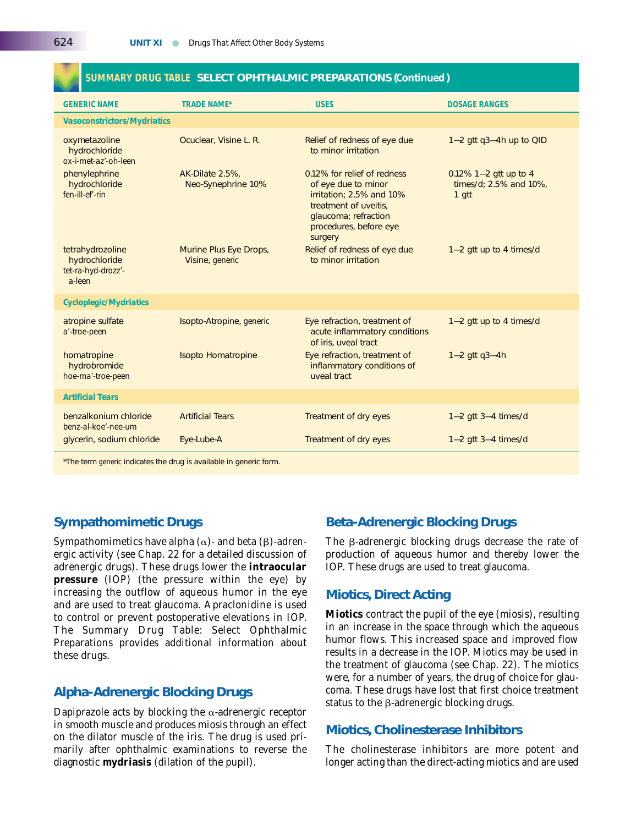| <b>GENERIC NAME</b>                                                | <b>TRADE NAME*</b>                        | <b>USES</b>                                                                                                                                                          | <b>DOSAGE RANGES</b>                                           |
|--------------------------------------------------------------------|-------------------------------------------|----------------------------------------------------------------------------------------------------------------------------------------------------------------------|----------------------------------------------------------------|
| <b>Vasoconstrictors/Mydriatics</b>                                 |                                           |                                                                                                                                                                      |                                                                |
| oxymetazoline<br>hydrochloride<br>ox-i-met-az'-oh-leen             | Ocuclear, Visine L. R.                    | Relief of redness of eye due<br>to minor irritation                                                                                                                  | $1-2$ gtt g $3-4h$ up to QID                                   |
| phenylephrine<br>hydrochloride<br>fen-ill-ef'-rin                  | AK-Dilate 2.5%,<br>Neo-Synephrine 10%     | 0.12% for relief of redness<br>of eye due to minor<br>irritation; 2.5% and 10%<br>treatment of uveitis,<br>glaucoma; refraction<br>procedures, before eye<br>surgery | 0.12% $1 - 2$ gtt up to 4<br>times/d; 2.5% and 10%,<br>$1$ gtt |
| tetrahydrozoline<br>hydrochloride<br>tet-ra-hyd-drozz'-<br>a-leen  | Murine Plus Eye Drops,<br>Visine, generic | Relief of redness of eye due<br>to minor irritation                                                                                                                  | 1-2 gtt up to 4 times/d                                        |
| <b>Cycloplegic/Mydriatics</b>                                      |                                           |                                                                                                                                                                      |                                                                |
| atropine sulfate<br>a'-troe-peen                                   | Isopto-Atropine, generic                  | Eye refraction, treatment of<br>acute inflammatory conditions<br>of iris, uveal tract                                                                                | $1-2$ gtt up to 4 times/d                                      |
| homatropine<br>hydrobromide<br>hoe-ma'-troe-peen                   | <b>Isopto Homatropine</b>                 | Eye refraction, treatment of<br>inflammatory conditions of<br>uveal tract                                                                                            | $1-2$ gtt g $3-4h$                                             |
| <b>Artificial Tears</b>                                            |                                           |                                                                                                                                                                      |                                                                |
| benzalkonium chloride<br>benz-al-koe'-nee-um                       | <b>Artificial Tears</b>                   | Treatment of dry eyes                                                                                                                                                | $1-2$ gtt $3-4$ times/d                                        |
| glycerin, sodium chloride                                          | Eye-Lube-A                                | Treatment of dry eyes                                                                                                                                                | $1-2$ gtt $3-4$ times/d                                        |
| *The term generic indicates the drug is available in generic form. |                                           |                                                                                                                                                                      |                                                                |

# **SUMMARY DRUG TABLE SELECT OPHTHALMIC PREPARATIONS (***Continued***)**

# **Sympathomimetic Drugs**

Sympathomimetics have alpha  $(\alpha)$ - and beta  $(\beta)$ -adrenergic activity (see Chap. 22 for a detailed discussion of adrenergic drugs). These drugs lower the **intraocular pressure** (IOP) (the pressure within the eye) by increasing the outflow of aqueous humor in the eye and are used to treat glaucoma. Apraclonidine is used to control or prevent postoperative elevations in IOP. The Summary Drug Table: Select Ophthalmic Preparations provides additional information about these drugs.

# **Alpha-Adrenergic Blocking Drugs**

Dapiprazole acts by blocking the  $\alpha$ -adrenergic receptor in smooth muscle and produces miosis through an effect on the dilator muscle of the iris. The drug is used primarily after ophthalmic examinations to reverse the diagnostic **mydriasis** (dilation of the pupil).

# **Beta-Adrenergic Blocking Drugs**

The  $\beta$ -adrenergic blocking drugs decrease the rate of production of aqueous humor and thereby lower the IOP. These drugs are used to treat glaucoma.

# **Miotics, Direct Acting**

**Miotics** contract the pupil of the eye (miosis), resulting in an increase in the space through which the aqueous humor flows. This increased space and improved flow results in a decrease in the IOP. Miotics may be used in the treatment of glaucoma (see Chap. 22). The miotics were, for a number of years, the drug of choice for glaucoma. These drugs have lost that first choice treatment status to the  $\beta$ -adrenergic blocking drugs.

# **Miotics, Cholinesterase Inhibitors**

The cholinesterase inhibitors are more potent and longer acting than the direct-acting miotics and are used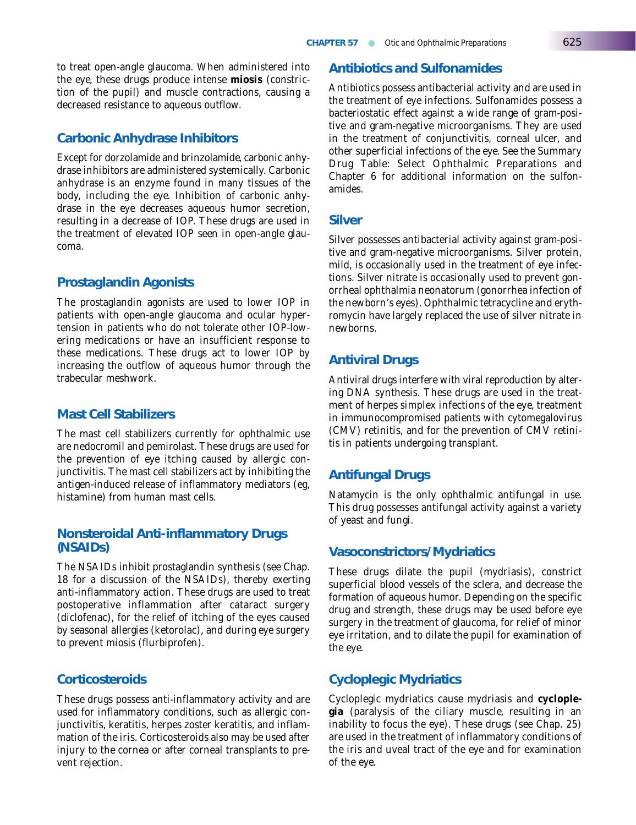to treat open-angle glaucoma. When administered into the eye, these drugs produce intense **miosis** (constriction of the pupil) and muscle contractions, causing a decreased resistance to aqueous outflow.

# **Carbonic Anhydrase Inhibitors**

Except for dorzolamide and brinzolamide, carbonic anhydrase inhibitors are administered systemically. Carbonic anhydrase is an enzyme found in many tissues of the body, including the eye. Inhibition of carbonic anhydrase in the eye decreases aqueous humor secretion, resulting in a decrease of IOP. These drugs are used in the treatment of elevated IOP seen in open-angle glaucoma.

# **Prostaglandin Agonists**

The prostaglandin agonists are used to lower IOP in patients with open-angle glaucoma and ocular hypertension in patients who do not tolerate other IOP-lowering medications or have an insufficient response to these medications. These drugs act to lower IOP by increasing the outflow of aqueous humor through the trabecular meshwork.

# **Mast Cell Stabilizers**

The mast cell stabilizers currently for ophthalmic use are nedocromil and pemirolast. These drugs are used for the prevention of eye itching caused by allergic conjunctivitis. The mast cell stabilizers act by inhibiting the antigen-induced release of inflammatory mediators (eg, histamine) from human mast cells.

# **Nonsteroidal Anti-inflammatory Drugs (NSAIDs)**

The NSAIDs inhibit prostaglandin synthesis (see Chap. 18 for a discussion of the NSAIDs), thereby exerting anti-inflammatory action. These drugs are used to treat postoperative inflammation after cataract surgery (diclofenac), for the relief of itching of the eyes caused by seasonal allergies (ketorolac), and during eye surgery to prevent miosis (flurbiprofen).

# **Corticosteroids**

These drugs possess anti-inflammatory activity and are used for inflammatory conditions, such as allergic conjunctivitis, keratitis, herpes zoster keratitis, and inflammation of the iris. Corticosteroids also may be used after injury to the cornea or after corneal transplants to prevent rejection.

# **Antibiotics and Sulfonamides**

Antibiotics possess antibacterial activity and are used in the treatment of eye infections. Sulfonamides possess a bacteriostatic effect against a wide range of gram-positive and gram-negative microorganisms. They are used in the treatment of conjunctivitis, corneal ulcer, and other superficial infections of the eye. See the Summary Drug Table: Select Ophthalmic Preparations and Chapter 6 for additional information on the sulfonamides.

### **Silver**

Silver possesses antibacterial activity against gram-positive and gram-negative microorganisms. Silver protein, mild, is occasionally used in the treatment of eye infections. Silver nitrate is occasionally used to prevent gonorrheal ophthalmia neonatorum (gonorrhea infection of the newborn's eyes). Ophthalmic tetracycline and erythromycin have largely replaced the use of silver nitrate in newborns.

# **Antiviral Drugs**

Antiviral drugs interfere with viral reproduction by altering DNA synthesis. These drugs are used in the treatment of herpes simplex infections of the eye, treatment in immunocompromised patients with cytomegalovirus (CMV) retinitis, and for the prevention of CMV retinitis in patients undergoing transplant.

# **Antifungal Drugs**

Natamycin is the only ophthalmic antifungal in use. This drug possesses antifungal activity against a variety of yeast and fungi.

# **Vasoconstrictors/Mydriatics**

These drugs dilate the pupil (mydriasis), constrict superficial blood vessels of the sclera, and decrease the formation of aqueous humor. Depending on the specific drug and strength, these drugs may be used before eye surgery in the treatment of glaucoma, for relief of minor eye irritation, and to dilate the pupil for examination of the eye.

# **Cycloplegic Mydriatics**

Cycloplegic mydriatics cause mydriasis and **cycloplegia** (paralysis of the ciliary muscle, resulting in an inability to focus the eye). These drugs (see Chap. 25) are used in the treatment of inflammatory conditions of the iris and uveal tract of the eye and for examination of the eye.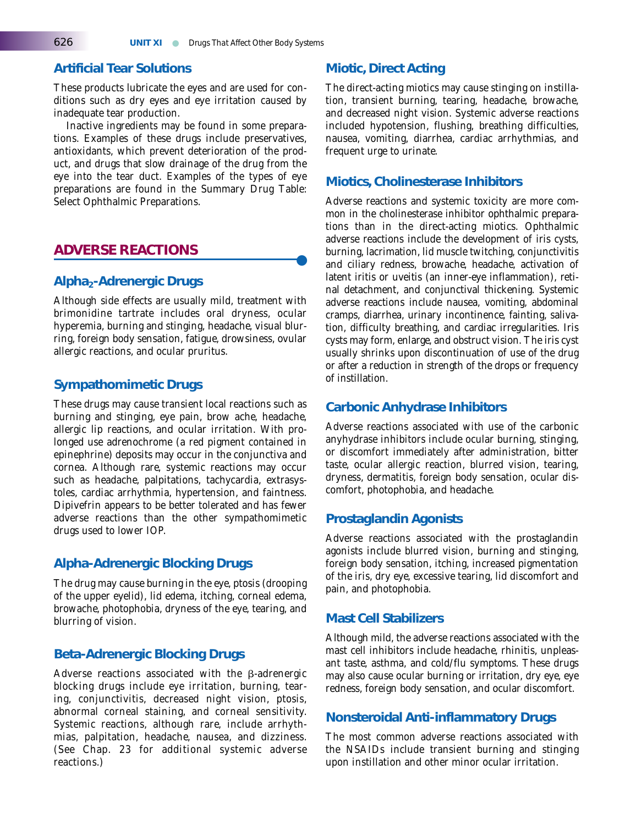# **Artificial Tear Solutions**

These products lubricate the eyes and are used for conditions such as dry eyes and eye irritation caused by inadequate tear production.

Inactive ingredients may be found in some preparations. Examples of these drugs include preservatives, antioxidants, which prevent deterioration of the product, and drugs that slow drainage of the drug from the eye into the tear duct. Examples of the types of eye preparations are found in the Summary Drug Table: Select Ophthalmic Preparations.

# **ADVERSE REACTIONS** ●

# **Alpha<sub>2</sub>-Adrenergic Drugs**

Although side effects are usually mild, treatment with brimonidine tartrate includes oral dryness, ocular hyperemia, burning and stinging, headache, visual blurring, foreign body sensation, fatigue, drowsiness, ovular allergic reactions, and ocular pruritus.

# **Sympathomimetic Drugs**

These drugs may cause transient local reactions such as burning and stinging, eye pain, brow ache, headache, allergic lip reactions, and ocular irritation. With prolonged use adrenochrome (a red pigment contained in epinephrine) deposits may occur in the conjunctiva and cornea. Although rare, systemic reactions may occur such as headache, palpitations, tachycardia, extrasystoles, cardiac arrhythmia, hypertension, and faintness. Dipivefrin appears to be better tolerated and has fewer adverse reactions than the other sympathomimetic drugs used to lower IOP.

# **Alpha-Adrenergic Blocking Drugs**

The drug may cause burning in the eye, ptosis (drooping of the upper eyelid), lid edema, itching, corneal edema, browache, photophobia, dryness of the eye, tearing, and blurring of vision.

# **Beta-Adrenergic Blocking Drugs**

Adverse reactions associated with the B-adrenergic blocking drugs include eye irritation, burning, tearing, conjunctivitis, decreased night vision, ptosis, abnormal corneal staining, and corneal sensitivity. Systemic reactions, although rare, include arrhythmias, palpitation, headache, nausea, and dizziness. (See Chap. 23 for additional systemic adverse reactions.)

# **Miotic, Direct Acting**

The direct-acting miotics may cause stinging on instillation, transient burning, tearing, headache, browache, and decreased night vision. Systemic adverse reactions included hypotension, flushing, breathing difficulties, nausea, vomiting, diarrhea, cardiac arrhythmias, and frequent urge to urinate.

# **Miotics, Cholinesterase Inhibitors**

Adverse reactions and systemic toxicity are more common in the cholinesterase inhibitor ophthalmic preparations than in the direct-acting miotics. Ophthalmic adverse reactions include the development of iris cysts, burning, lacrimation, lid muscle twitching, conjunctivitis and ciliary redness, browache, headache, activation of latent iritis or uveitis (an inner-eye inflammation), retinal detachment, and conjunctival thickening. Systemic adverse reactions include nausea, vomiting, abdominal cramps, diarrhea, urinary incontinence, fainting, salivation, difficulty breathing, and cardiac irregularities. Iris cysts may form, enlarge, and obstruct vision. The iris cyst usually shrinks upon discontinuation of use of the drug or after a reduction in strength of the drops or frequency of instillation.

# **Carbonic Anhydrase Inhibitors**

Adverse reactions associated with use of the carbonic anyhydrase inhibitors include ocular burning, stinging, or discomfort immediately after administration, bitter taste, ocular allergic reaction, blurred vision, tearing, dryness, dermatitis, foreign body sensation, ocular discomfort, photophobia, and headache.

# **Prostaglandin Agonists**

Adverse reactions associated with the prostaglandin agonists include blurred vision, burning and stinging, foreign body sensation, itching, increased pigmentation of the iris, dry eye, excessive tearing, lid discomfort and pain, and photophobia.

# **Mast Cell Stabilizers**

Although mild, the adverse reactions associated with the mast cell inhibitors include headache, rhinitis, unpleasant taste, asthma, and cold/flu symptoms. These drugs may also cause ocular burning or irritation, dry eye, eye redness, foreign body sensation, and ocular discomfort.

# **Nonsteroidal Anti-inflammatory Drugs**

The most common adverse reactions associated with the NSAIDs include transient burning and stinging upon instillation and other minor ocular irritation.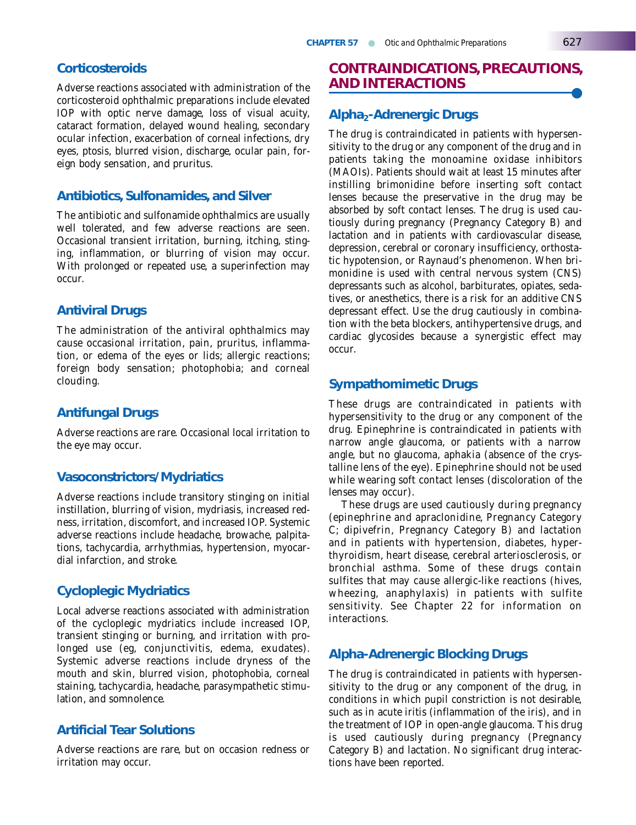# **Corticosteroids**

Adverse reactions associated with administration of the corticosteroid ophthalmic preparations include elevated IOP with optic nerve damage, loss of visual acuity, cataract formation, delayed wound healing, secondary ocular infection, exacerbation of corneal infections, dry eyes, ptosis, blurred vision, discharge, ocular pain, foreign body sensation, and pruritus.

# **Antibiotics, Sulfonamides, and Silver**

The antibiotic and sulfonamide ophthalmics are usually well tolerated, and few adverse reactions are seen. Occasional transient irritation, burning, itching, stinging, inflammation, or blurring of vision may occur. With prolonged or repeated use, a superinfection may occur.

# **Antiviral Drugs**

The administration of the antiviral ophthalmics may cause occasional irritation, pain, pruritus, inflammation, or edema of the eyes or lids; allergic reactions; foreign body sensation; photophobia; and corneal clouding.

# **Antifungal Drugs**

Adverse reactions are rare. Occasional local irritation to the eye may occur.

# **Vasoconstrictors/Mydriatics**

Adverse reactions include transitory stinging on initial instillation, blurring of vision, mydriasis, increased redness, irritation, discomfort, and increased IOP. Systemic adverse reactions include headache, browache, palpitations, tachycardia, arrhythmias, hypertension, myocardial infarction, and stroke.

# **Cycloplegic Mydriatics**

Local adverse reactions associated with administration of the cycloplegic mydriatics include increased IOP, transient stinging or burning, and irritation with prolonged use (eg, conjunctivitis, edema, exudates). Systemic adverse reactions include dryness of the mouth and skin, blurred vision, photophobia, corneal staining, tachycardia, headache, parasympathetic stimulation, and somnolence.

# **Artificial Tear Solutions**

Adverse reactions are rare, but on occasion redness or irritation may occur.

# **CONTRAINDICATIONS, PRECAUTIONS, AND INTERACTIONS** ●

# **Alpha<sub>2</sub>-Adrenergic Drugs**

The drug is contraindicated in patients with hypersensitivity to the drug or any component of the drug and in patients taking the monoamine oxidase inhibitors (MAOIs). Patients should wait at least 15 minutes after instilling brimonidine before inserting soft contact lenses because the preservative in the drug may be absorbed by soft contact lenses. The drug is used cautiously during pregnancy (Pregnancy Category B) and lactation and in patients with cardiovascular disease, depression, cerebral or coronary insufficiency, orthostatic hypotension, or Raynaud's phenomenon. When brimonidine is used with central nervous system (CNS) depressants such as alcohol, barbiturates, opiates, sedatives, or anesthetics, there is a risk for an additive CNS depressant effect. Use the drug cautiously in combination with the beta blockers, antihypertensive drugs, and cardiac glycosides because a synergistic effect may occur.

# **Sympathomimetic Drugs**

These drugs are contraindicated in patients with hypersensitivity to the drug or any component of the drug. Epinephrine is contraindicated in patients with narrow angle glaucoma, or patients with a narrow angle, but no glaucoma, aphakia (absence of the crystalline lens of the eye). Epinephrine should not be used while wearing soft contact lenses (discoloration of the lenses may occur).

These drugs are used cautiously during pregnancy (epinephrine and apraclonidine, Pregnancy Category C; dipivefrin, Pregnancy Category B) and lactation and in patients with hypertension, diabetes, hyperthyroidism, heart disease, cerebral arteriosclerosis, or bronchial asthma. Some of these drugs contain sulfites that may cause allergic-like reactions (hives, wheezing, anaphylaxis) in patients with sulfite sensitivity. See Chapter 22 for information on interactions.

# **Alpha-Adrenergic Blocking Drugs**

The drug is contraindicated in patients with hypersensitivity to the drug or any component of the drug, in conditions in which pupil constriction is not desirable, such as in acute iritis (inflammation of the iris), and in the treatment of IOP in open-angle glaucoma. This drug is used cautiously during pregnancy (Pregnancy Category B) and lactation. No significant drug interactions have been reported.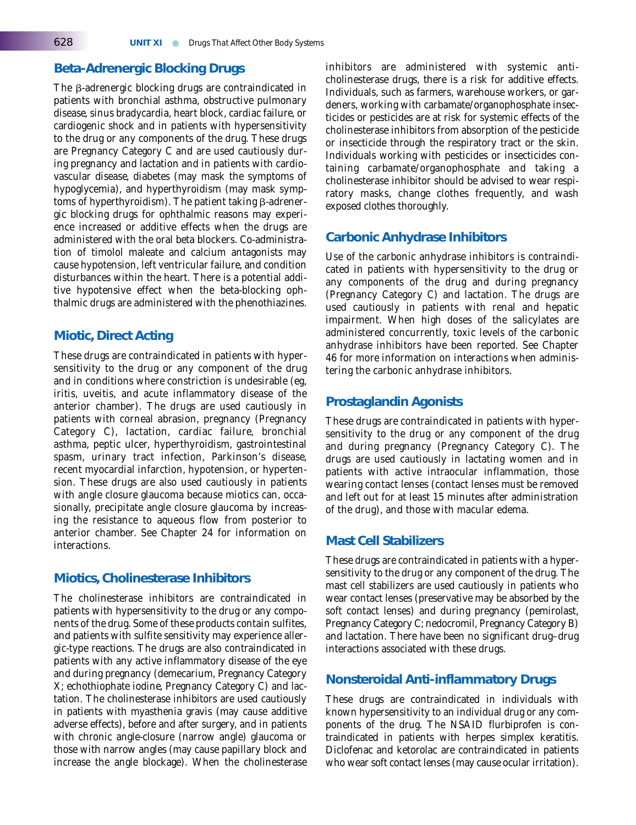# **Beta-Adrenergic Blocking Drugs**

The  $\beta$ -adrenergic blocking drugs are contraindicated in patients with bronchial asthma, obstructive pulmonary disease, sinus bradycardia, heart block, cardiac failure, or cardiogenic shock and in patients with hypersensitivity to the drug or any components of the drug. These drugs are Pregnancy Category C and are used cautiously during pregnancy and lactation and in patients with cardiovascular disease, diabetes (may mask the symptoms of hypoglycemia), and hyperthyroidism (may mask symptoms of hyperthyroidism). The patient taking  $\beta$ -adrenergic blocking drugs for ophthalmic reasons may experience increased or additive effects when the drugs are administered with the oral beta blockers. Co-administration of timolol maleate and calcium antagonists may cause hypotension, left ventricular failure, and condition disturbances within the heart. There is a potential additive hypotensive effect when the beta-blocking ophthalmic drugs are administered with the phenothiazines.

# **Miotic, Direct Acting**

These drugs are contraindicated in patients with hypersensitivity to the drug or any component of the drug and in conditions where constriction is undesirable (eg, iritis, uveitis, and acute inflammatory disease of the anterior chamber). The drugs are used cautiously in patients with corneal abrasion, pregnancy (Pregnancy Category C), lactation, cardiac failure, bronchial asthma, peptic ulcer, hyperthyroidism, gastrointestinal spasm, urinary tract infection, Parkinson's disease, recent myocardial infarction, hypotension, or hypertension. These drugs are also used cautiously in patients with angle closure glaucoma because miotics can, occasionally, precipitate angle closure glaucoma by increasing the resistance to aqueous flow from posterior to anterior chamber. See Chapter 24 for information on interactions.

# **Miotics, Cholinesterase Inhibitors**

The cholinesterase inhibitors are contraindicated in patients with hypersensitivity to the drug or any components of the drug. Some of these products contain sulfites, and patients with sulfite sensitivity may experience allergic-type reactions. The drugs are also contraindicated in patients with any active inflammatory disease of the eye and during pregnancy (demecarium, Pregnancy Category X; echothiophate iodine, Pregnancy Category C) and lactation. The cholinesterase inhibitors are used cautiously in patients with myasthenia gravis (may cause additive adverse effects), before and after surgery, and in patients with chronic angle-closure (narrow angle) glaucoma or those with narrow angles (may cause papillary block and increase the angle blockage). When the cholinesterase inhibitors are administered with systemic anticholinesterase drugs, there is a risk for additive effects. Individuals, such as farmers, warehouse workers, or gardeners, working with carbamate/organophosphate insecticides or pesticides are at risk for systemic effects of the cholinesterase inhibitors from absorption of the pesticide or insecticide through the respiratory tract or the skin. Individuals working with pesticides or insecticides containing carbamate/organophosphate and taking a cholinesterase inhibitor should be advised to wear respiratory masks, change clothes frequently, and wash exposed clothes thoroughly.

# **Carbonic Anhydrase Inhibitors**

Use of the carbonic anhydrase inhibitors is contraindicated in patients with hypersensitivity to the drug or any components of the drug and during pregnancy (Pregnancy Category C) and lactation. The drugs are used cautiously in patients with renal and hepatic impairment. When high doses of the salicylates are administered concurrently, toxic levels of the carbonic anhydrase inhibitors have been reported. See Chapter 46 for more information on interactions when administering the carbonic anhydrase inhibitors.

# **Prostaglandin Agonists**

These drugs are contraindicated in patients with hypersensitivity to the drug or any component of the drug and during pregnancy (Pregnancy Category C). The drugs are used cautiously in lactating women and in patients with active intraocular inflammation, those wearing contact lenses (contact lenses must be removed and left out for at least 15 minutes after administration of the drug), and those with macular edema.

# **Mast Cell Stabilizers**

These drugs are contraindicated in patients with a hypersensitivity to the drug or any component of the drug. The mast cell stabilizers are used cautiously in patients who wear contact lenses (preservative may be absorbed by the soft contact lenses) and during pregnancy (pemirolast, Pregnancy Category C; nedocromil, Pregnancy Category B) and lactation. There have been no significant drug–drug interactions associated with these drugs.

# **Nonsteroidal Anti-inflammatory Drugs**

These drugs are contraindicated in individuals with known hypersensitivity to an individual drug or any components of the drug. The NSAID flurbiprofen is contraindicated in patients with herpes simplex keratitis. Diclofenac and ketorolac are contraindicated in patients who wear soft contact lenses (may cause ocular irritation).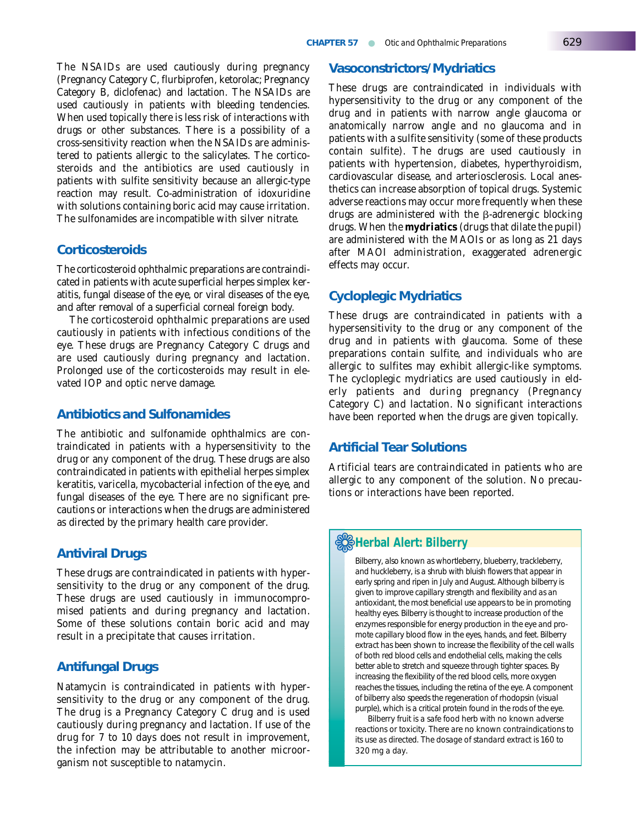The NSAIDs are used cautiously during pregnancy (Pregnancy Category C, flurbiprofen, ketorolac; Pregnancy Category B, diclofenac) and lactation. The NSAIDs are used cautiously in patients with bleeding tendencies. When used topically there is less risk of interactions with drugs or other substances. There is a possibility of a cross-sensitivity reaction when the NSAIDs are administered to patients allergic to the salicylates. The corticosteroids and the antibiotics are used cautiously in patients with sulfite sensitivity because an allergic-type reaction may result. Co-administration of idoxuridine with solutions containing boric acid may cause irritation. The sulfonamides are incompatible with silver nitrate.

# **Corticosteroids**

The corticosteroid ophthalmic preparations are contraindicated in patients with acute superficial herpes simplex keratitis, fungal disease of the eye, or viral diseases of the eye, and after removal of a superficial corneal foreign body.

The corticosteroid ophthalmic preparations are used cautiously in patients with infectious conditions of the eye. These drugs are Pregnancy Category C drugs and are used cautiously during pregnancy and lactation. Prolonged use of the corticosteroids may result in elevated IOP and optic nerve damage.

# **Antibiotics and Sulfonamides**

The antibiotic and sulfonamide ophthalmics are contraindicated in patients with a hypersensitivity to the drug or any component of the drug. These drugs are also contraindicated in patients with epithelial herpes simplex keratitis, varicella, mycobacterial infection of the eye, and fungal diseases of the eye. There are no significant precautions or interactions when the drugs are administered as directed by the primary health care provider.

# **Antiviral Drugs**

These drugs are contraindicated in patients with hypersensitivity to the drug or any component of the drug. These drugs are used cautiously in immunocompromised patients and during pregnancy and lactation. Some of these solutions contain boric acid and may result in a precipitate that causes irritation.

# **Antifungal Drugs**

Natamycin is contraindicated in patients with hypersensitivity to the drug or any component of the drug. The drug is a Pregnancy Category C drug and is used cautiously during pregnancy and lactation. If use of the drug for 7 to 10 days does not result in improvement, the infection may be attributable to another microorganism not susceptible to natamycin.

# **Vasoconstrictors/Mydriatics**

These drugs are contraindicated in individuals with hypersensitivity to the drug or any component of the drug and in patients with narrow angle glaucoma or anatomically narrow angle and no glaucoma and in patients with a sulfite sensitivity (some of these products contain sulfite). The drugs are used cautiously in patients with hypertension, diabetes, hyperthyroidism, cardiovascular disease, and arteriosclerosis. Local anesthetics can increase absorption of topical drugs. Systemic adverse reactions may occur more frequently when these drugs are administered with the  $\beta$ -adrenergic blocking drugs. When the **mydriatics** (drugs that dilate the pupil) are administered with the MAOIs or as long as 21 days after MAOI administration, exaggerated adrenergic effects may occur.

# **Cycloplegic Mydriatics**

These drugs are contraindicated in patients with a hypersensitivity to the drug or any component of the drug and in patients with glaucoma. Some of these preparations contain sulfite, and individuals who are allergic to sulfites may exhibit allergic-like symptoms. The cycloplegic mydriatics are used cautiously in elderly patients and during pregnancy (Pregnancy Category C) and lactation. No significant interactions have been reported when the drugs are given topically.

# **Artificial Tear Solutions**

Artificial tears are contraindicated in patients who are allergic to any component of the solution. No precautions or interactions have been reported.

# ❁**Herbal Alert: Bilberry**

*Bilberry, also known as whortleberry, blueberry, trackleberry, and huckleberry, is a shrub with bluish flowers that appear in early spring and ripen in July and August. Although bilberry is given to improve capillary strength and flexibility and as an antioxidant, the most beneficial use appears to be in promoting healthy eyes. Bilberry is thought to increase production of the enzymes responsible for energy production in the eye and promote capillary blood flow in the eyes, hands, and feet. Bilberry extract has been shown to increase the flexibility of the cell walls of both red blood cells and endothelial cells, making the cells better able to stretch and squeeze through tighter spaces. By increasing the flexibility of the red blood cells, more oxygen reaches the tissues, including the retina of the eye. A component of bilberry also speeds the regeneration of rhodopsin (visual purple), which is a critical protein found in the rods of the eye.*

*Bilberry fruit is a safe food herb with no known adverse reactions or toxicity. There are no known contraindications to its use as directed. The dosage of standard extract is 160 to 320 mg a day.*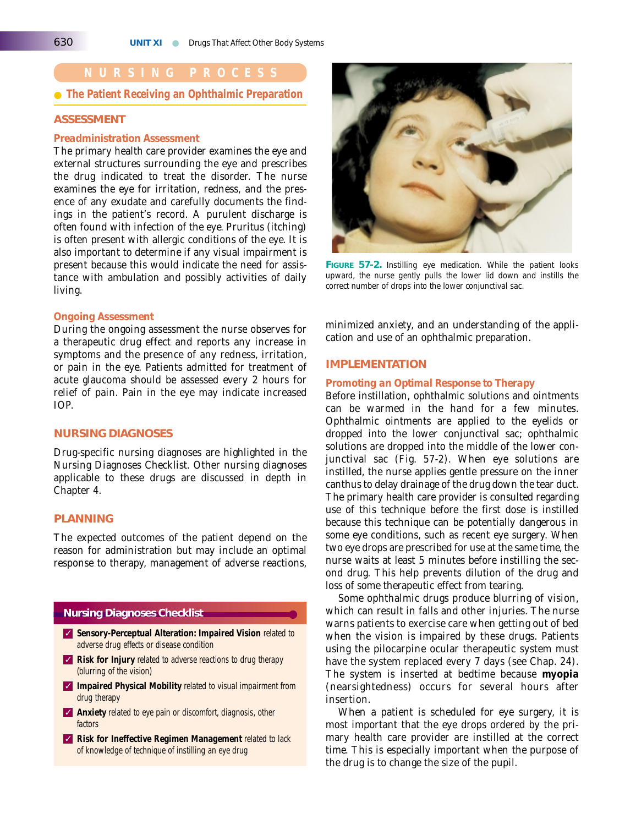● **The Patient Receiving an Ophthalmic Preparation**

# **ASSESSMENT**

## *Preadministration Assessment*

The primary health care provider examines the eye and external structures surrounding the eye and prescribes the drug indicated to treat the disorder. The nurse examines the eye for irritation, redness, and the presence of any exudate and carefully documents the findings in the patient's record. A purulent discharge is often found with infection of the eye. Pruritus (itching) is often present with allergic conditions of the eye. It is also important to determine if any visual impairment is present because this would indicate the need for assistance with ambulation and possibly activities of daily living.

#### *Ongoing Assessment*

During the ongoing assessment the nurse observes for a therapeutic drug effect and reports any increase in symptoms and the presence of any redness, irritation, or pain in the eye. Patients admitted for treatment of acute glaucoma should be assessed every 2 hours for relief of pain. Pain in the eye may indicate increased IOP.

### **NURSING DIAGNOSES**

Drug-specific nursing diagnoses are highlighted in the Nursing Diagnoses Checklist. Other nursing diagnoses applicable to these drugs are discussed in depth in Chapter 4.

# **PLANNING**

The expected outcomes of the patient depend on the reason for administration but may include an optimal response to therapy, management of adverse reactions,

# **Nursing Diagnoses Checklist**

- ✓ **Sensory-Perceptual Alteration: Impaired Vision** related to adverse drug effects or disease condition
- ✓ **Risk for Injury** related to adverse reactions to drug therapy (blurring of the vision)
- ✓ **Impaired Physical Mobility** related to visual impairment from drug therapy
- ✓ **Anxiety** related to eye pain or discomfort, diagnosis, other factors
- ✓ **Risk for Ineffective Regimen Management** related to lack of knowledge of technique of instilling an eye drug



**FIGURE 57-2.** Instilling eye medication. While the patient looks upward, the nurse gently pulls the lower lid down and instills the correct number of drops into the lower conjunctival sac.

minimized anxiety, and an understanding of the application and use of an ophthalmic preparation.

# **IMPLEMENTATION**

# *Promoting an Optimal Response to Therapy*

Before instillation, ophthalmic solutions and ointments can be warmed in the hand for a few minutes. Ophthalmic ointments are applied to the eyelids or dropped into the lower conjunctival sac; ophthalmic solutions are dropped into the middle of the lower conjunctival sac (Fig. 57-2). When eye solutions are instilled, the nurse applies gentle pressure on the inner canthus to delay drainage of the drug down the tear duct. The primary health care provider is consulted regarding use of this technique before the first dose is instilled because this technique can be potentially dangerous in some eye conditions, such as recent eye surgery. When two eye drops are prescribed for use at the same time, the nurse waits at least 5 minutes before instilling the second drug. This help prevents dilution of the drug and loss of some therapeutic effect from tearing.

Some ophthalmic drugs produce blurring of vision, which can result in falls and other injuries. The nurse warns patients to exercise care when getting out of bed when the vision is impaired by these drugs. Patients using the pilocarpine ocular therapeutic system must have the system replaced every 7 days (see Chap. 24). The system is inserted at bedtime because **myopia** (nearsightedness) occurs for several hours after insertion.

When a patient is scheduled for eye surgery, it is most important that the eye drops ordered by the primary health care provider are instilled at the correct time. This is especially important when the purpose of the drug is to change the size of the pupil.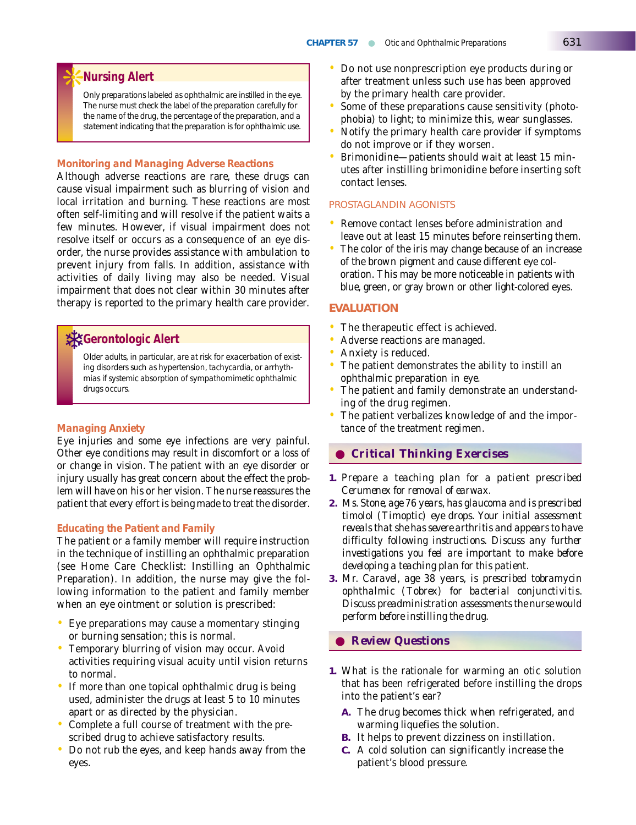# ❊**Nursing Alert**

*Only preparations labeled as ophthalmic are instilled in the eye. The nurse must check the label of the preparation carefully for the name of the drug, the percentage of the preparation, and a statement indicating that the preparation is for ophthalmic use.* 

## *Monitoring and Managing Adverse Reactions*

Although adverse reactions are rare, these drugs can cause visual impairment such as blurring of vision and local irritation and burning. These reactions are most often self-limiting and will resolve if the patient waits a few minutes. However, if visual impairment does not resolve itself or occurs as a consequence of an eye disorder, the nurse provides assistance with ambulation to prevent injury from falls. In addition, assistance with activities of daily living may also be needed. Visual impairment that does not clear within 30 minutes after therapy is reported to the primary health care provider.

# ❄**Gerontologic Alert**

*Older adults, in particular, are at risk for exacerbation of existing disorders such as hypertension, tachycardia, or arrhythmias if systemic absorption of sympathomimetic ophthalmic drugs occurs.* 

#### *Managing Anxiety*

Eye injuries and some eye infections are very painful. Other eye conditions may result in discomfort or a loss of or change in vision. The patient with an eye disorder or injury usually has great concern about the effect the problem will have on his or her vision. The nurse reassures the patient that every effort is being made to treat the disorder.

# *Educating the Patient and Family*

The patient or a family member will require instruction in the technique of instilling an ophthalmic preparation (see Home Care Checklist: Instilling an Ophthalmic Preparation). In addition, the nurse may give the following information to the patient and family member when an eye ointment or solution is prescribed:

- Eye preparations may cause a momentary stinging or burning sensation; this is normal.
- Temporary blurring of vision may occur. Avoid activities requiring visual acuity until vision returns to normal.
- If more than one topical ophthalmic drug is being used, administer the drugs at least 5 to 10 minutes apart or as directed by the physician.
- Complete a full course of treatment with the prescribed drug to achieve satisfactory results.
- Do not rub the eyes, and keep hands away from the eyes.
- Do not use nonprescription eye products during or after treatment unless such use has been approved by the primary health care provider.
- Some of these preparations cause sensitivity (photophobia) to light; to minimize this, wear sunglasses.
- Notify the primary health care provider if symptoms do not improve or if they worsen.
- Brimonidine—patients should wait at least 15 minutes after instilling brimonidine before inserting soft contact lenses.

#### PROSTAGLANDIN AGONISTS

- Remove contact lenses before administration and leave out at least 15 minutes before reinserting them.
- The color of the iris may change because of an increase of the brown pigment and cause different eye coloration. This may be more noticeable in patients with blue, green, or gray brown or other light-colored eyes.

# **EVALUATION**

- The therapeutic effect is achieved.
- Adverse reactions are managed.
- Anxiety is reduced.
- The patient demonstrates the ability to instill an ophthalmic preparation in eye.
- The patient and family demonstrate an understanding of the drug regimen.
- The patient verbalizes knowledge of and the importance of the treatment regimen.

# ● *Critical Thinking Exercises*

- **1.** *Prepare a teaching plan for a patient prescribed Cerumenex for removal of earwax.*
- **2.** *Ms. Stone, age 76 years, has glaucoma and is prescribed timolol (Timoptic) eye drops. Your initial assessment reveals that she has severe arthritis and appears to have difficulty following instructions. Discuss any further investigations you feel are important to make before developing a teaching plan for this patient.*
- **3.** *Mr. Caravel, age 38 years, is prescribed tobramycin ophthalmic (Tobrex) for bacterial conjunctivitis. Discuss preadministration assessments the nurse would perform before instilling the drug.*

# ● *Review Questions*

- **1.** What is the rationale for warming an otic solution that has been refrigerated before instilling the drops into the patient's ear?
	- **A.** The drug becomes thick when refrigerated, and warming liquefies the solution.
	- **B.** It helps to prevent dizziness on instillation.
	- **C.** A cold solution can significantly increase the patient's blood pressure.